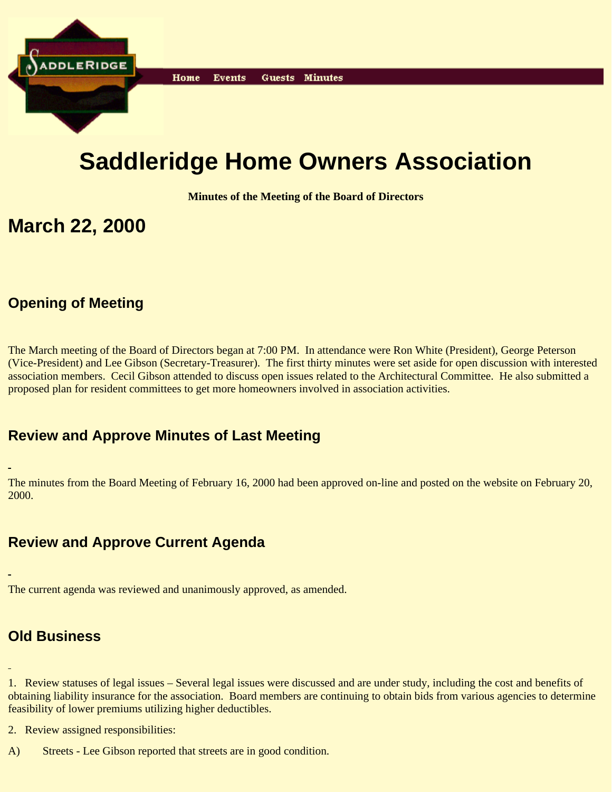

# **Saddleridge Home Owners Association**

**Minutes of the Meeting of the Board of Directors**

## **March 22, 2000**

## **Opening of Meeting**

The March meeting of the Board of Directors began at 7:00 PM. In attendance were Ron White (President), George Peterson (Vice-President) and Lee Gibson (Secretary-Treasurer). The first thirty minutes were set aside for open discussion with interested association members. Cecil Gibson attended to discuss open issues related to the Architectural Committee. He also submitted a proposed plan for resident committees to get more homeowners involved in association activities.

## **Review and Approve Minutes of Last Meeting**

The minutes from the Board Meeting of February 16, 2000 had been approved on-line and posted on the website on February 20, 2000.

## **Review and Approve Current Agenda**

The current agenda was reviewed and unanimously approved, as amended.

## **Old Business**

1. Review statuses of legal issues – Several legal issues were discussed and are under study, including the cost and benefits of obtaining liability insurance for the association. Board members are continuing to obtain bids from various agencies to determine feasibility of lower premiums utilizing higher deductibles.

2. Review assigned responsibilities:

A) Streets - Lee Gibson reported that streets are in good condition.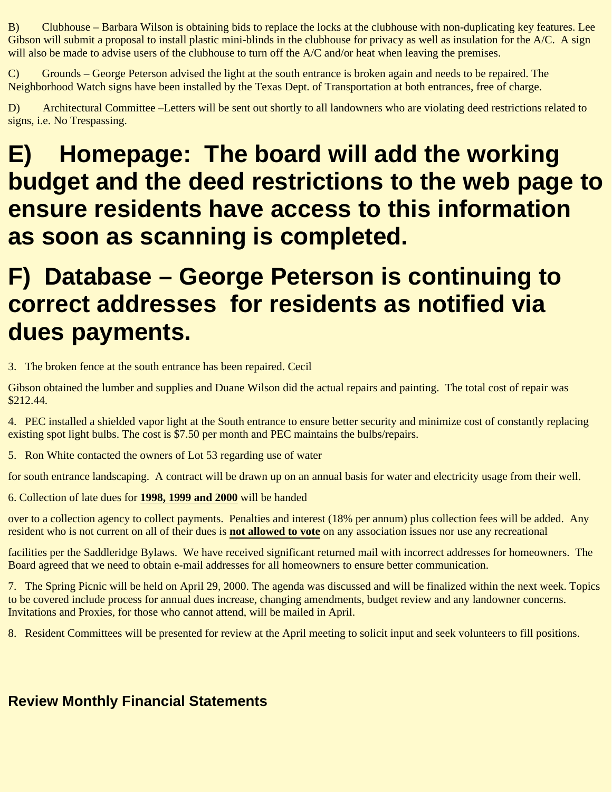B) Clubhouse – Barbara Wilson is obtaining bids to replace the locks at the clubhouse with non-duplicating key features. Lee Gibson will submit a proposal to install plastic mini-blinds in the clubhouse for privacy as well as insulation for the A/C. A sign will also be made to advise users of the clubhouse to turn off the  $A/C$  and/or heat when leaving the premises.

C) Grounds – George Peterson advised the light at the south entrance is broken again and needs to be repaired. The Neighborhood Watch signs have been installed by the Texas Dept. of Transportation at both entrances, free of charge.

D) Architectural Committee –Letters will be sent out shortly to all landowners who are violating deed restrictions related to signs, i.e. No Trespassing.

# **E) Homepage: The board will add the working budget and the deed restrictions to the web page to ensure residents have access to this information as soon as scanning is completed.**

## **F) Database – George Peterson is continuing to correct addresses for residents as notified via dues payments.**

3. The broken fence at the south entrance has been repaired. Cecil

Gibson obtained the lumber and supplies and Duane Wilson did the actual repairs and painting. The total cost of repair was \$212.44.

4. PEC installed a shielded vapor light at the South entrance to ensure better security and minimize cost of constantly replacing existing spot light bulbs. The cost is \$7.50 per month and PEC maintains the bulbs/repairs.

5. Ron White contacted the owners of Lot 53 regarding use of water

for south entrance landscaping. A contract will be drawn up on an annual basis for water and electricity usage from their well.

6. Collection of late dues for **1998, 1999 and 2000** will be handed

over to a collection agency to collect payments. Penalties and interest (18% per annum) plus collection fees will be added. Any resident who is not current on all of their dues is **not allowed to vote** on any association issues nor use any recreational

facilities per the Saddleridge Bylaws. We have received significant returned mail with incorrect addresses for homeowners. The Board agreed that we need to obtain e-mail addresses for all homeowners to ensure better communication.

7. The Spring Picnic will be held on April 29, 2000. The agenda was discussed and will be finalized within the next week. Topics to be covered include process for annual dues increase, changing amendments, budget review and any landowner concerns. Invitations and Proxies, for those who cannot attend, will be mailed in April.

8. Resident Committees will be presented for review at the April meeting to solicit input and seek volunteers to fill positions.

## **Review Monthly Financial Statements**